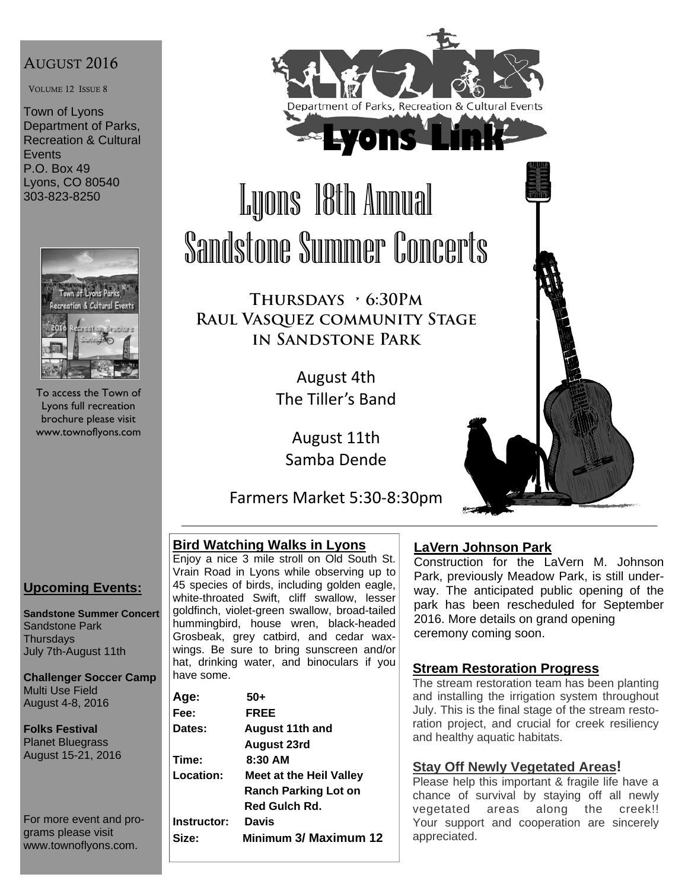## AUGUST 2016

VOLUME 12 ISSUE 8

Town of Lyons Department of Parks, Recreation & Cultural **Events** P.O. Box 49 Lyons, CO 80540 303-823-8250



To access the Town of Lyons full recreation brochure please visit www.townoflyons.com



# Lyons 18th Annual Sandstone Summer Concerts

**Thursdays • 6:30Pm Raul Vasquez community Stage in Sandstone Park** 

> August 4th The Tiller's Band

August 11th Samba Dende

Farmers Market 5:30‐8:30pm

## **Bird Watching Walks in Lyons**

Enjoy a nice 3 mile stroll on Old South St. Vrain Road in Lyons while observing up to 45 species of birds, including golden eagle, white-throated Swift, cliff swallow, lesser goldfinch, violet-green swallow, broad-tailed hummingbird, house wren, black-headed Grosbeak, grey catbird, and cedar waxwings. Be sure to bring sunscreen and/or hat, drinking water, and binoculars if you have some.

| Age:             | 50+                            |
|------------------|--------------------------------|
| Fee:             | <b>FREE</b>                    |
| <b>Dates:</b>    | August 11th and                |
|                  | <b>August 23rd</b>             |
| Time:            | $8:30$ AM                      |
| <b>Location:</b> | <b>Meet at the Heil Valley</b> |
|                  | <b>Ranch Parking Lot on</b>    |
|                  | Red Gulch Rd.                  |
| Instructor:      | Davis                          |
| Size:            | Minimum 3/ Maximum 12          |
|                  |                                |

## **LaVern Johnson Park**

Construction for the LaVern M. Johnson Park, previously Meadow Park, is still underway. The anticipated public opening of the park has been rescheduled for September 2016. More details on grand opening ceremony coming soon.

#### **Stream Restoration Progress**

The stream restoration team has been planting and installing the irrigation system throughout July. This is the final stage of the stream restoration project, and crucial for creek resiliency and healthy aquatic habitats.

#### **Stay Off Newly Vegetated Areas!**

Please help this important & fragile life have a chance of survival by staying off all newly vegetated areas along the creek!! Your support and cooperation are sincerely appreciated.

## **Upcoming Events:**

**Sandstone Summer Concert**  Sandstone Park **Thursdays** July 7th-August 11th

**Challenger Soccer Camp**  Multi Use Field August 4-8, 2016

**Folks Festival**  Planet Bluegrass August 15-21, 2016

For more event and programs please visit www.townoflyons.com.